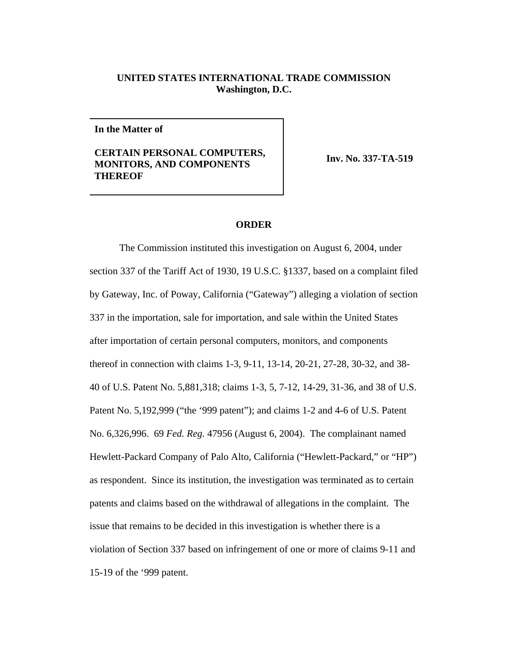## **UNITED STATES INTERNATIONAL TRADE COMMISSION Washington, D.C.**

**In the Matter of**

## **CERTAIN PERSONAL COMPUTERS, MONITORS, AND COMPONENTS THEREOF**

**Inv. No. 337-TA-519**

## **ORDER**

The Commission instituted this investigation on August 6, 2004, under section 337 of the Tariff Act of 1930, 19 U.S.C. §1337, based on a complaint filed by Gateway, Inc. of Poway, California ("Gateway") alleging a violation of section 337 in the importation, sale for importation, and sale within the United States after importation of certain personal computers, monitors, and components thereof in connection with claims 1-3, 9-11, 13-14, 20-21, 27-28, 30-32, and 38- 40 of U.S. Patent No. 5,881,318; claims 1-3, 5, 7-12, 14-29, 31-36, and 38 of U.S. Patent No. 5,192,999 ("the '999 patent"); and claims 1-2 and 4-6 of U.S. Patent No. 6,326,996. 69 *Fed. Reg.* 47956 (August 6, 2004). The complainant named Hewlett-Packard Company of Palo Alto, California ("Hewlett-Packard," or "HP") as respondent. Since its institution, the investigation was terminated as to certain patents and claims based on the withdrawal of allegations in the complaint. The issue that remains to be decided in this investigation is whether there is a violation of Section 337 based on infringement of one or more of claims 9-11 and 15-19 of the '999 patent.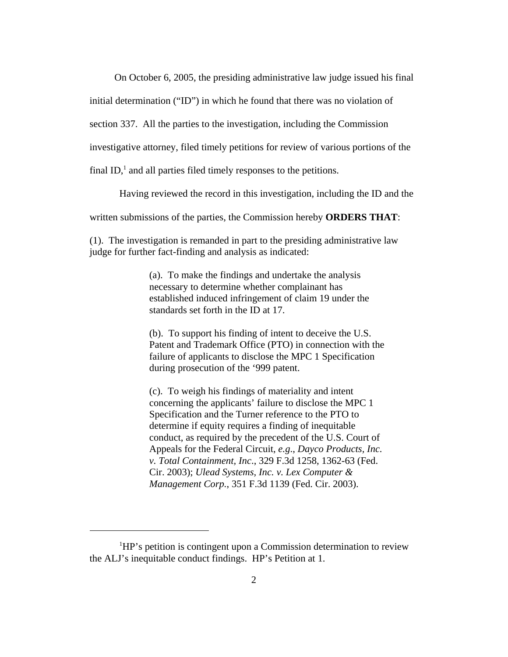On October 6, 2005, the presiding administrative law judge issued his final

initial determination ("ID") in which he found that there was no violation of

section 337. All the parties to the investigation, including the Commission

investigative attorney, filed timely petitions for review of various portions of the

final ID, $<sup>1</sup>$  and all parties filed timely responses to the petitions.</sup>

Having reviewed the record in this investigation, including the ID and the

written submissions of the parties, the Commission hereby **ORDERS THAT**:

(1). The investigation is remanded in part to the presiding administrative law judge for further fact-finding and analysis as indicated:

> (a). To make the findings and undertake the analysis necessary to determine whether complainant has established induced infringement of claim 19 under the standards set forth in the ID at 17.

(b). To support his finding of intent to deceive the U.S. Patent and Trademark Office (PTO) in connection with the failure of applicants to disclose the MPC 1 Specification during prosecution of the '999 patent.

(c). To weigh his findings of materiality and intent concerning the applicants' failure to disclose the MPC 1 Specification and the Turner reference to the PTO to determine if equity requires a finding of inequitable conduct, as required by the precedent of the U.S. Court of Appeals for the Federal Circuit, *e.g*., *Dayco Products, Inc. v. Total Containment, Inc*., 329 F.3d 1258, 1362-63 (Fed. Cir. 2003); *Ulead Systems, Inc. v. Lex Computer & Management Corp.*, 351 F.3d 1139 (Fed. Cir. 2003).

<sup>&</sup>lt;sup>1</sup>HP's petition is contingent upon a Commission determination to review the ALJ's inequitable conduct findings. HP's Petition at 1.